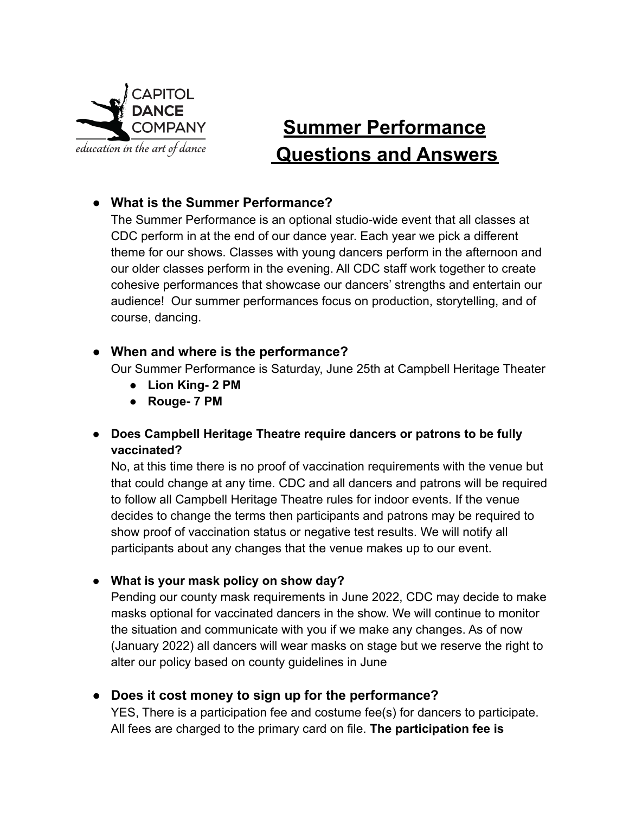

# **Summer Performance Questions and Answers**

# **● What is the Summer Performance?**

The Summer Performance is an optional studio-wide event that all classes at CDC perform in at the end of our dance year. Each year we pick a different theme for our shows. Classes with young dancers perform in the afternoon and our older classes perform in the evening. All CDC staff work together to create cohesive performances that showcase our dancers' strengths and entertain our audience! Our summer performances focus on production, storytelling, and of course, dancing.

# **● When and where is the performance?**

Our Summer Performance is Saturday, June 25th at Campbell Heritage Theater

- **● Lion King- 2 PM**
- **Rouge- 7 PM**
- **● Does Campbell Heritage Theatre require dancers or patrons to be fully vaccinated?**

No, at this time there is no proof of vaccination requirements with the venue but that could change at any time. CDC and all dancers and patrons will be required to follow all Campbell Heritage Theatre rules for indoor events. If the venue decides to change the terms then participants and patrons may be required to show proof of vaccination status or negative test results. We will notify all participants about any changes that the venue makes up to our event.

**● What is your mask policy on show day?**

Pending our county mask requirements in June 2022, CDC may decide to make masks optional for vaccinated dancers in the show. We will continue to monitor the situation and communicate with you if we make any changes. As of now (January 2022) all dancers will wear masks on stage but we reserve the right to alter our policy based on county guidelines in June

## **● Does it cost money to sign up for the performance?**

YES, There is a participation fee and costume fee(s) for dancers to participate. All fees are charged to the primary card on file. **The participation fee is**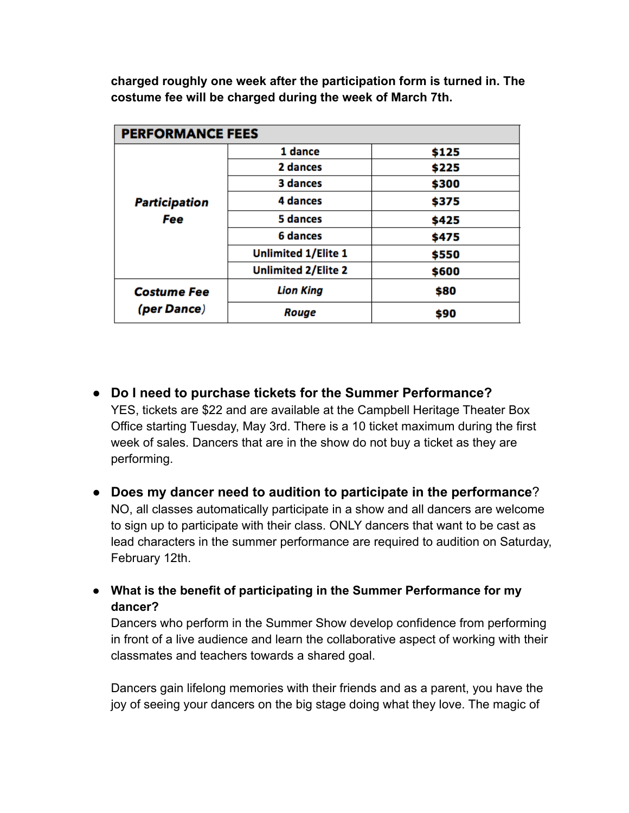**charged roughly one week after the participation form is turned in. The costume fee will be charged during the week of March 7th.**

| <b>PERFORMANCE FEES</b>           |                            |       |
|-----------------------------------|----------------------------|-------|
| <b>Participation</b><br>Fee       | 1 dance                    | \$125 |
|                                   | 2 dances                   | \$225 |
|                                   | 3 dances                   | \$300 |
|                                   | 4 dances                   | \$375 |
|                                   | 5 dances                   | \$425 |
|                                   | 6 dances                   | \$475 |
|                                   | <b>Unlimited 1/Elite 1</b> | \$550 |
|                                   | <b>Unlimited 2/Elite 2</b> | \$600 |
| <b>Costume Fee</b><br>(per Dance) | <b>Lion King</b>           | \$80  |
|                                   | Rouge                      | \$90  |

- **● Do I need to purchase tickets for the Summer Performance?** YES, tickets are \$22 and are available at the Campbell Heritage Theater Box Office starting Tuesday, May 3rd. There is a 10 ticket maximum during the first week of sales. Dancers that are in the show do not buy a ticket as they are performing.
- **Does my dancer need to audition to participate in the performance**? NO, all classes automatically participate in a show and all dancers are welcome to sign up to participate with their class. ONLY dancers that want to be cast as lead characters in the summer performance are required to audition on Saturday, February 12th.

**● What is the benefit of participating in the Summer Performance for my dancer?**

Dancers who perform in the Summer Show develop confidence from performing in front of a live audience and learn the collaborative aspect of working with their classmates and teachers towards a shared goal.

Dancers gain lifelong memories with their friends and as a parent, you have the joy of seeing your dancers on the big stage doing what they love. The magic of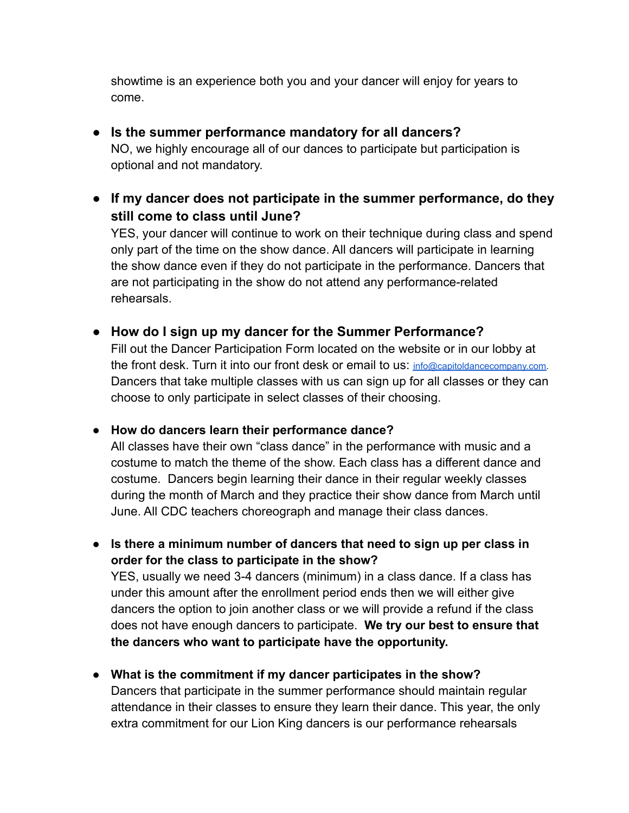showtime is an experience both you and your dancer will enjoy for years to come.

- **● Is the summer performance mandatory for all dancers?** NO, we highly encourage all of our dances to participate but participation is optional and not mandatory.
- **● If my dancer does not participate in the summer performance, do they still come to class until June?**

YES, your dancer will continue to work on their technique during class and spend only part of the time on the show dance. All dancers will participate in learning the show dance even if they do not participate in the performance. Dancers that are not participating in the show do not attend any performance-related rehearsals.

**● How do I sign up my dancer for the Summer Performance?**

Fill out the Dancer Participation Form located on the website or in our lobby at the front desk. Turn it into our front desk or email to us: [info@capitoldancecompany.com.](mailto:info@capitoldancecompany.com) Dancers that take multiple classes with us can sign up for all classes or they can choose to only participate in select classes of their choosing.

**● How do dancers learn their performance dance?**

All classes have their own "class dance" in the performance with music and a costume to match the theme of the show. Each class has a different dance and costume. Dancers begin learning their dance in their regular weekly classes during the month of March and they practice their show dance from March until June. All CDC teachers choreograph and manage their class dances.

**● Is there a minimum number of dancers that need to sign up per class in order for the class to participate in the show?** YES, usually we need 3-4 dancers (minimum) in a class dance. If a class has under this amount after the enrollment period ends then we will either give dancers the option to join another class or we will provide a refund if the class does not have enough dancers to participate. **We try our best to ensure that the dancers who want to participate have the opportunity.**

**● What is the commitment if my dancer participates in the show?** Dancers that participate in the summer performance should maintain regular attendance in their classes to ensure they learn their dance. This year, the only extra commitment for our Lion King dancers is our performance rehearsals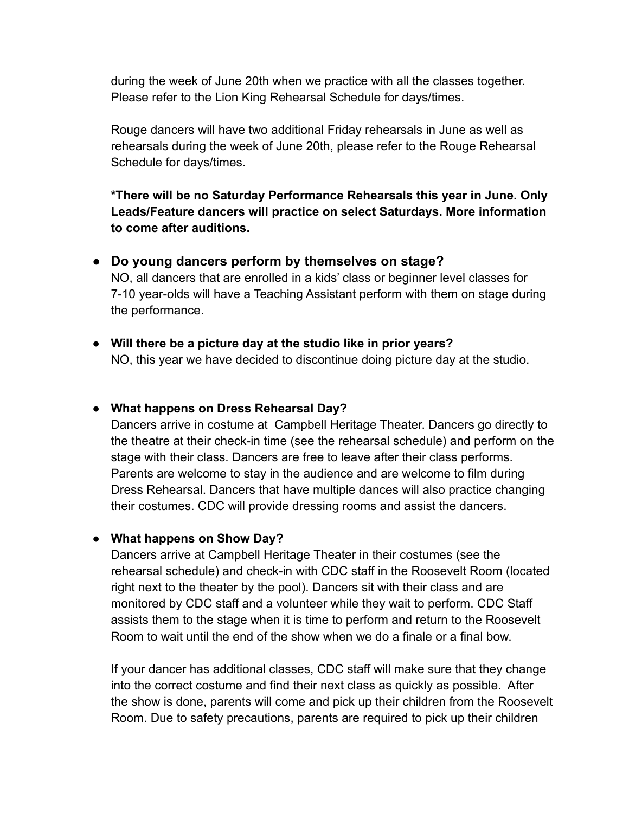during the week of June 20th when we practice with all the classes together. Please refer to the Lion King Rehearsal Schedule for days/times.

Rouge dancers will have two additional Friday rehearsals in June as well as rehearsals during the week of June 20th, please refer to the Rouge Rehearsal Schedule for days/times.

**\*There will be no Saturday Performance Rehearsals this year in June. Only Leads/Feature dancers will practice on select Saturdays. More information to come after auditions.**

**● Do young dancers perform by themselves on stage?**

NO, all dancers that are enrolled in a kids' class or beginner level classes for 7-10 year-olds will have a Teaching Assistant perform with them on stage during the performance.

● **Will there be a picture day at the studio like in prior years?** NO, this year we have decided to discontinue doing picture day at the studio.

### **● What happens on Dress Rehearsal Day?**

Dancers arrive in costume at Campbell Heritage Theater. Dancers go directly to the theatre at their check-in time (see the rehearsal schedule) and perform on the stage with their class. Dancers are free to leave after their class performs. Parents are welcome to stay in the audience and are welcome to film during Dress Rehearsal. Dancers that have multiple dances will also practice changing their costumes. CDC will provide dressing rooms and assist the dancers.

#### **● What happens on Show Day?**

Dancers arrive at Campbell Heritage Theater in their costumes (see the rehearsal schedule) and check-in with CDC staff in the Roosevelt Room (located right next to the theater by the pool). Dancers sit with their class and are monitored by CDC staff and a volunteer while they wait to perform. CDC Staff assists them to the stage when it is time to perform and return to the Roosevelt Room to wait until the end of the show when we do a finale or a final bow.

If your dancer has additional classes, CDC staff will make sure that they change into the correct costume and find their next class as quickly as possible. After the show is done, parents will come and pick up their children from the Roosevelt Room. Due to safety precautions, parents are required to pick up their children